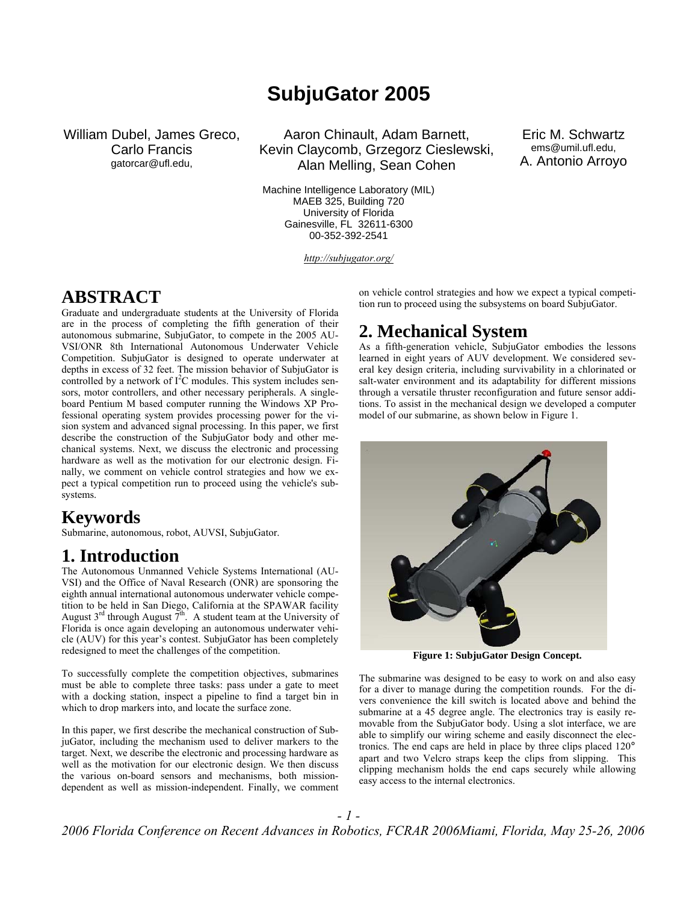# **SubjuGator 2005**

William Dubel, James Greco, Carlo Francis gatorcar@ufl.edu,

Aaron Chinault, Adam Barnett, Kevin Claycomb, Grzegorz Cieslewski, Alan Melling, Sean Cohen

Machine Intelligence Laboratory (MIL) MAEB 325, Building 720 University of Florida Gainesville, FL 32611-6300 00-352-392-2541

*http://subjugator.org/*

Eric M. Schwartz ems@umil.ufl.edu, A. Antonio Arroyo

### **ABSTRACT**

Graduate and undergraduate students at the University of Florida are in the process of completing the fifth generation of their autonomous submarine, SubjuGator, to compete in the 2005 AU-VSI/ONR 8th International Autonomous Underwater Vehicle Competition. SubjuGator is designed to operate underwater at depths in excess of 32 feet. The mission behavior of SubjuGator is controlled by a network of  $I<sup>2</sup>C$  modules. This system includes sensors, motor controllers, and other necessary peripherals. A singleboard Pentium M based computer running the Windows XP Professional operating system provides processing power for the vision system and advanced signal processing. In this paper, we first describe the construction of the SubjuGator body and other mechanical systems. Next, we discuss the electronic and processing hardware as well as the motivation for our electronic design. Finally, we comment on vehicle control strategies and how we expect a typical competition run to proceed using the vehicle's subsystems.

### **Keywords**

Submarine, autonomous, robot, AUVSI, SubjuGator.

### **1. Introduction**

The Autonomous Unmanned Vehicle Systems International (AU-VSI) and the Office of Naval Research (ONR) are sponsoring the eighth annual international autonomous underwater vehicle competition to be held in San Diego, California at the SPAWAR facility August  $3<sup>rd</sup>$  through August  $7<sup>th</sup>$ . A student team at the University of Florida is once again developing an autonomous underwater vehicle (AUV) for this year's contest. SubjuGator has been completely redesigned to meet the challenges of the competition.

To successfully complete the competition objectives, submarines must be able to complete three tasks: pass under a gate to meet with a docking station, inspect a pipeline to find a target bin in which to drop markers into, and locate the surface zone.

In this paper, we first describe the mechanical construction of SubjuGator, including the mechanism used to deliver markers to the target. Next, we describe the electronic and processing hardware as well as the motivation for our electronic design. We then discuss the various on-board sensors and mechanisms, both missiondependent as well as mission-independent. Finally, we comment

on vehicle control strategies and how we expect a typical competition run to proceed using the subsystems on board SubjuGator.

## **2. Mechanical System**

As a fifth-generation vehicle, SubjuGator embodies the lessons learned in eight years of AUV development. We considered several key design criteria, including survivability in a chlorinated or salt-water environment and its adaptability for different missions through a versatile thruster reconfiguration and future sensor additions. To assist in the mechanical design we developed a computer model of our submarine, as shown below in Figure 1.



**Figure 1: SubjuGator Design Concept.** 

The submarine was designed to be easy to work on and also easy for a diver to manage during the competition rounds. For the divers convenience the kill switch is located above and behind the submarine at a 45 degree angle. The electronics tray is easily removable from the SubjuGator body. Using a slot interface, we are able to simplify our wiring scheme and easily disconnect the electronics. The end caps are held in place by three clips placed 120° apart and two Velcro straps keep the clips from slipping. This clipping mechanism holds the end caps securely while allowing easy access to the internal electronics.

*- 1 -*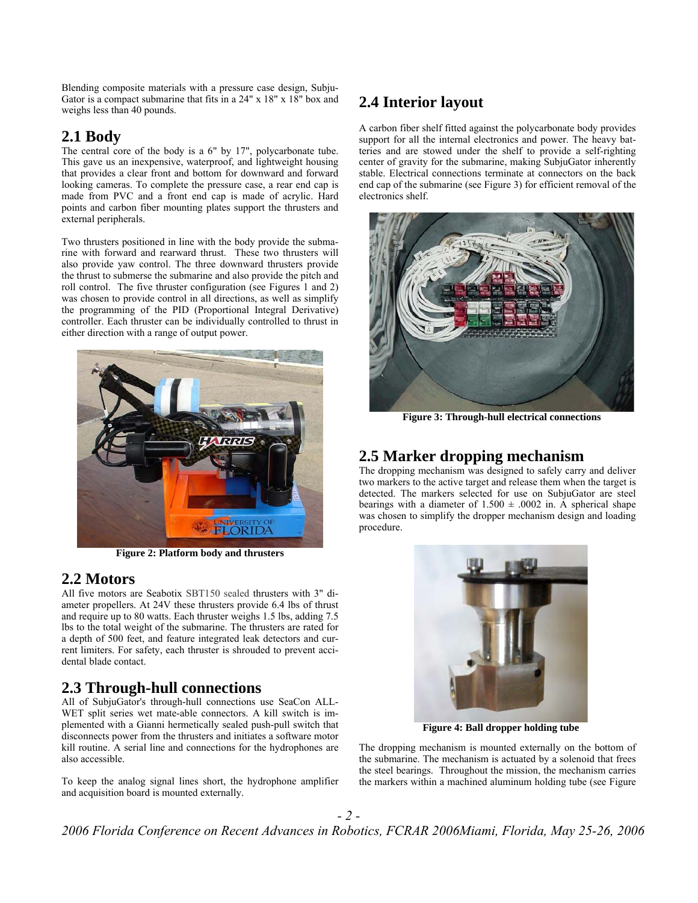Blending composite materials with a pressure case design, Subju-Gator is a compact submarine that fits in a 24" x 18" x 18" box and weighs less than 40 pounds.

### **2.1 Body**

The central core of the body is a 6" by 17", polycarbonate tube. This gave us an inexpensive, waterproof, and lightweight housing that provides a clear front and bottom for downward and forward looking cameras. To complete the pressure case, a rear end cap is made from PVC and a front end cap is made of acrylic. Hard points and carbon fiber mounting plates support the thrusters and external peripherals.

Two thrusters positioned in line with the body provide the submarine with forward and rearward thrust. These two thrusters will also provide yaw control. The three downward thrusters provide the thrust to submerse the submarine and also provide the pitch and roll control. The five thruster configuration (see Figures 1 and 2) was chosen to provide control in all directions, as well as simplify the programming of the PID (Proportional Integral Derivative) controller. Each thruster can be individually controlled to thrust in either direction with a range of output power.



**Figure 2: Platform body and thrusters** 

### **2.2 Motors**

All five motors are Seabotix SBT150 sealed thrusters with 3" diameter propellers. At 24V these thrusters provide 6.4 lbs of thrust and require up to 80 watts. Each thruster weighs 1.5 lbs, adding 7.5 lbs to the total weight of the submarine. The thrusters are rated for a depth of 500 feet, and feature integrated leak detectors and current limiters. For safety, each thruster is shrouded to prevent accidental blade contact.

### **2.3 Through-hull connections**

All of SubjuGator's through-hull connections use SeaCon ALL-WET split series wet mate-able connectors. A kill switch is implemented with a Gianni hermetically sealed push-pull switch that disconnects power from the thrusters and initiates a software motor kill routine. A serial line and connections for the hydrophones are also accessible.

To keep the analog signal lines short, the hydrophone amplifier and acquisition board is mounted externally.

## **2.4 Interior layout**

A carbon fiber shelf fitted against the polycarbonate body provides support for all the internal electronics and power. The heavy batteries and are stowed under the shelf to provide a self-righting center of gravity for the submarine, making SubjuGator inherently stable. Electrical connections terminate at connectors on the back end cap of the submarine (see Figure 3) for efficient removal of the electronics shelf.



**Figure 3: Through-hull electrical connections** 

### **2.5 Marker dropping mechanism**

The dropping mechanism was designed to safely carry and deliver two markers to the active target and release them when the target is detected. The markers selected for use on SubjuGator are steel bearings with a diameter of  $1.500 \pm .0002$  in. A spherical shape was chosen to simplify the dropper mechanism design and loading procedure.



**Figure 4: Ball dropper holding tube**

The dropping mechanism is mounted externally on the bottom of the submarine. The mechanism is actuated by a solenoid that frees the steel bearings. Throughout the mission, the mechanism carries the markers within a machined aluminum holding tube (see Figure

*- 2 - 2006 Florida Conference on Recent Advances in Robotics, FCRAR 2006Miami, Florida, May 25-26, 2006*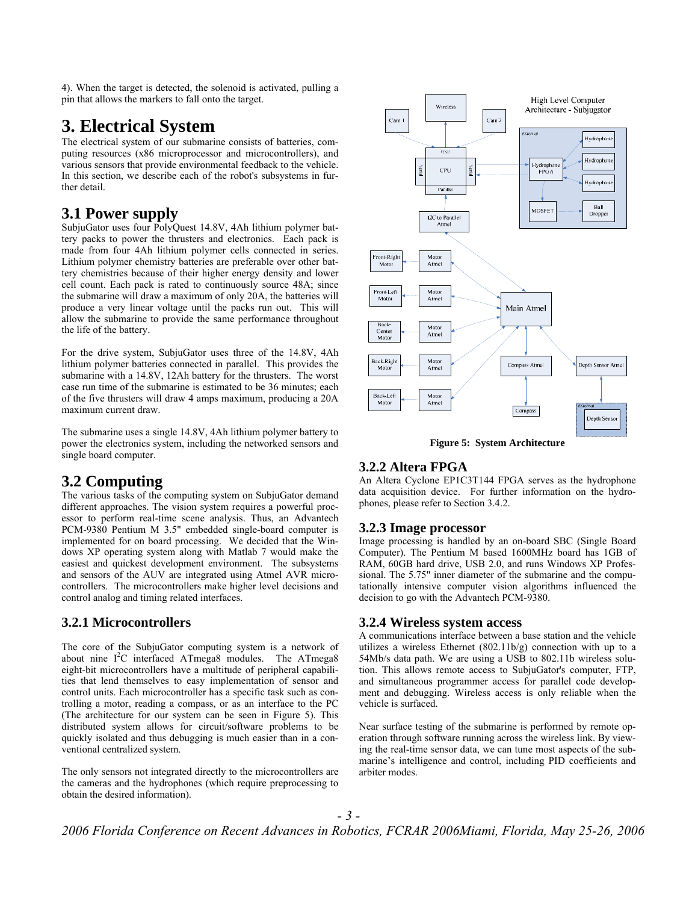4). When the target is detected, the solenoid is activated, pulling a pin that allows the markers to fall onto the target.

## **3. Electrical System**

The electrical system of our submarine consists of batteries, computing resources (x86 microprocessor and microcontrollers), and various sensors that provide environmental feedback to the vehicle. In this section, we describe each of the robot's subsystems in further detail.

### **3.1 Power supply**

SubjuGator uses four PolyQuest 14.8V, 4Ah lithium polymer battery packs to power the thrusters and electronics. Each pack is made from four 4Ah lithium polymer cells connected in series. Lithium polymer chemistry batteries are preferable over other battery chemistries because of their higher energy density and lower cell count. Each pack is rated to continuously source 48A; since the submarine will draw a maximum of only 20A, the batteries will produce a very linear voltage until the packs run out. This will allow the submarine to provide the same performance throughout the life of the battery.

For the drive system, SubjuGator uses three of the 14.8V, 4Ah lithium polymer batteries connected in parallel. This provides the submarine with a 14.8V, 12Ah battery for the thrusters. The worst case run time of the submarine is estimated to be 36 minutes; each of the five thrusters will draw 4 amps maximum, producing a 20A maximum current draw.

The submarine uses a single 14.8V, 4Ah lithium polymer battery to power the electronics system, including the networked sensors and single board computer.

### **3.2 Computing**

The various tasks of the computing system on SubjuGator demand different approaches. The vision system requires a powerful processor to perform real-time scene analysis. Thus, an Advantech PCM-9380 Pentium M 3.5" embedded single-board computer is implemented for on board processing. We decided that the Windows XP operating system along with Matlab 7 would make the easiest and quickest development environment. The subsystems and sensors of the AUV are integrated using Atmel AVR microcontrollers. The microcontrollers make higher level decisions and control analog and timing related interfaces.

#### **3.2.1 Microcontrollers**

The core of the SubjuGator computing system is a network of about nine I<sup>2</sup>C interfaced ATmega8 modules. The ATmega8 eight-bit microcontrollers have a multitude of peripheral capabilities that lend themselves to easy implementation of sensor and control units. Each microcontroller has a specific task such as controlling a motor, reading a compass, or as an interface to the PC (The architecture for our system can be seen in Figure 5). This distributed system allows for circuit/software problems to be quickly isolated and thus debugging is much easier than in a conventional centralized system.

The only sensors not integrated directly to the microcontrollers are the cameras and the hydrophones (which require preprocessing to obtain the desired information).



**Figure 5: System Architecture** 

#### **3.2.2 Altera FPGA**

An Altera Cyclone EP1C3T144 FPGA serves as the hydrophone data acquisition device. For further information on the hydrophones, please refer to Section 3.4.2.

#### **3.2.3 Image processor**

Image processing is handled by an on-board SBC (Single Board Computer). The Pentium M based 1600MHz board has 1GB of RAM, 60GB hard drive, USB 2.0, and runs Windows XP Professional. The 5.75" inner diameter of the submarine and the computationally intensive computer vision algorithms influenced the decision to go with the Advantech PCM-9380.

#### **3.2.4 Wireless system access**

A communications interface between a base station and the vehicle utilizes a wireless Ethernet (802.11b/g) connection with up to a 54Mb/s data path. We are using a USB to 802.11b wireless solution. This allows remote access to SubjuGator's computer, FTP, and simultaneous programmer access for parallel code development and debugging. Wireless access is only reliable when the vehicle is surfaced.

Near surface testing of the submarine is performed by remote operation through software running across the wireless link. By viewing the real-time sensor data, we can tune most aspects of the submarine's intelligence and control, including PID coefficients and arbiter modes.

*- 3 -*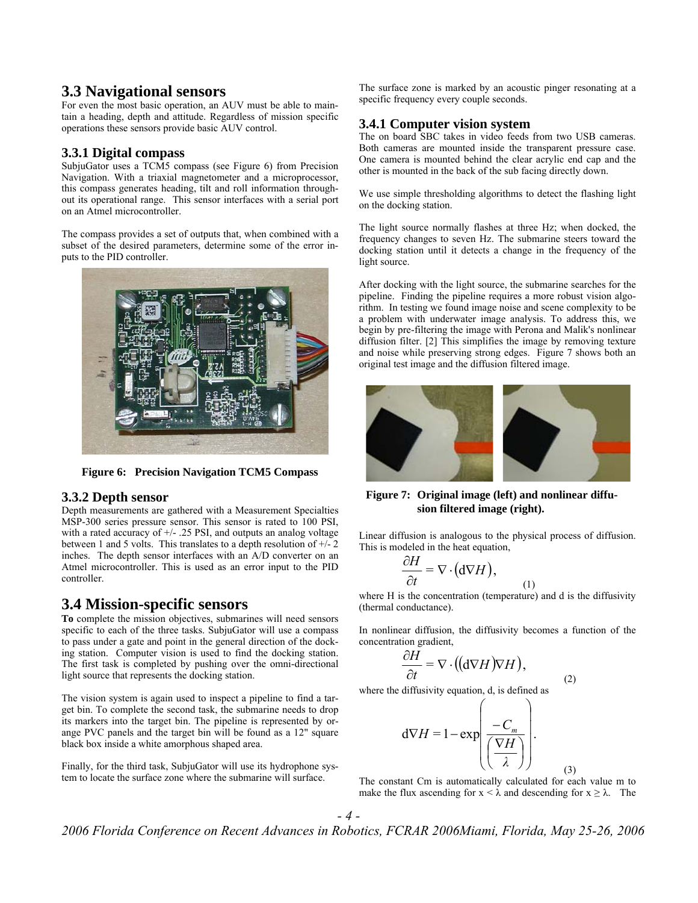#### **3.3 Navigational sensors**

For even the most basic operation, an AUV must be able to maintain a heading, depth and attitude. Regardless of mission specific operations these sensors provide basic AUV control.

#### **3.3.1 Digital compass**

SubjuGator uses a TCM5 compass (see Figure 6) from Precision Navigation. With a triaxial magnetometer and a microprocessor, this compass generates heading, tilt and roll information throughout its operational range. This sensor interfaces with a serial port on an Atmel microcontroller.

The compass provides a set of outputs that, when combined with a subset of the desired parameters, determine some of the error inputs to the PID controller.



**Figure 6: Precision Navigation TCM5 Compass** 

#### **3.3.2 Depth sensor**

Depth measurements are gathered with a Measurement Specialties MSP-300 series pressure sensor. This sensor is rated to 100 PSI, with a rated accuracy of  $+/-$  .25 PSI, and outputs an analog voltage between 1 and 5 volts. This translates to a depth resolution of +/- 2 inches. The depth sensor interfaces with an A/D converter on an Atmel microcontroller. This is used as an error input to the PID controller.

### **3.4 Mission-specific sensors**

**To** complete the mission objectives, submarines will need sensors specific to each of the three tasks. SubjuGator will use a compass to pass under a gate and point in the general direction of the docking station. Computer vision is used to find the docking station. The first task is completed by pushing over the omni-directional light source that represents the docking station.

The vision system is again used to inspect a pipeline to find a target bin. To complete the second task, the submarine needs to drop its markers into the target bin. The pipeline is represented by orange PVC panels and the target bin will be found as a 12" square black box inside a white amorphous shaped area.

Finally, for the third task, SubjuGator will use its hydrophone system to locate the surface zone where the submarine will surface.

The surface zone is marked by an acoustic pinger resonating at a specific frequency every couple seconds.

#### **3.4.1 Computer vision system**

The on board SBC takes in video feeds from two USB cameras. Both cameras are mounted inside the transparent pressure case. One camera is mounted behind the clear acrylic end cap and the other is mounted in the back of the sub facing directly down.

We use simple thresholding algorithms to detect the flashing light on the docking station.

The light source normally flashes at three Hz; when docked, the frequency changes to seven Hz. The submarine steers toward the docking station until it detects a change in the frequency of the light source.

After docking with the light source, the submarine searches for the pipeline. Finding the pipeline requires a more robust vision algorithm. In testing we found image noise and scene complexity to be a problem with underwater image analysis. To address this, we begin by pre-filtering the image with Perona and Malik's nonlinear diffusion filter. [2] This simplifies the image by removing texture and noise while preserving strong edges. Figure 7 shows both an original test image and the diffusion filtered image.



**Figure 7: Original image (left) and nonlinear diffusion filtered image (right).** 

Linear diffusion is analogous to the physical process of diffusion. This is modeled in the heat equation,

$$
\frac{\partial H}{\partial t} = \nabla \cdot (\mathbf{d} \nabla H),
$$

where H is the concentration (temperature) and d is the diffusivity (thermal conductance).

(1)

(2)

(3)

In nonlinear diffusion, the diffusivity becomes a function of the concentration gradient,

$$
\frac{\partial H}{\partial t} = \nabla \cdot ((d \nabla H) \nabla H),
$$

where the diffusivity equation, d, is defined as

$$
d\nabla H = 1 - \exp\left(\frac{-C_m}{\left(\frac{\nabla H}{\lambda}\right)}\right).
$$

The constant Cm is automatically calculated for each value m to make the flux ascending for  $x < \lambda$  and descending for  $x \ge \lambda$ . The

*2006 Florida Conference on Recent Advances in Robotics, FCRAR 2006Miami, Florida, May 25-26, 2006*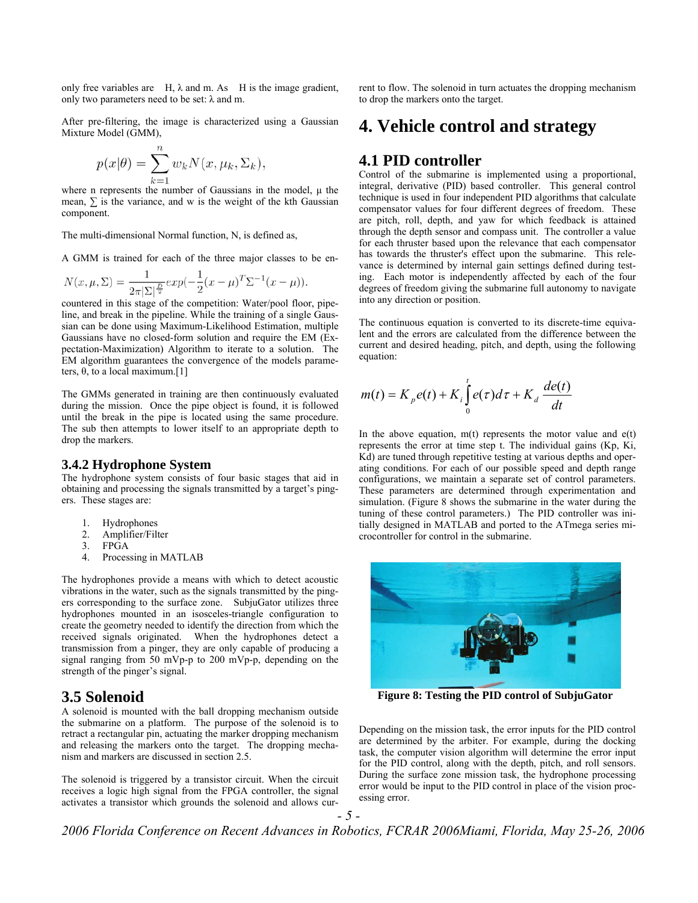only free variables are  $H$ ,  $\lambda$  and m. As  $H$  is the image gradient, only two parameters need to be set:  $\lambda$  and m.

After pre-filtering, the image is characterized using a Gaussian Mixture Model (GMM),

$$
p(x|\theta) = \sum_{k=1}^{n} w_k N(x, \mu_k, \Sigma_k).
$$

where n represents the number of Gaussians in the model,  $\mu$  the mean,  $\Sigma$  is the variance, and w is the weight of the kth Gaussian component.

The multi-dimensional Normal function, N, is defined as,

A GMM is trained for each of the three major classes to be en-

$$
N(x, \mu, \Sigma) = \frac{1}{2\pi |\Sigma|^{\frac{D}{2}}} exp(-\frac{1}{2}(x - \mu)^{T} \Sigma^{-1} (x - \mu)).
$$

countered in this stage of the competition: Water/pool floor, pipeline, and break in the pipeline. While the training of a single Gaussian can be done using Maximum-Likelihood Estimation, multiple Gaussians have no closed-form solution and require the EM (Expectation-Maximization) Algorithm to iterate to a solution. The EM algorithm guarantees the convergence of the models parameters,  $θ$ , to a local maximum.[1]

The GMMs generated in training are then continuously evaluated during the mission. Once the pipe object is found, it is followed until the break in the pipe is located using the same procedure. The sub then attempts to lower itself to an appropriate depth to drop the markers.

#### **3.4.2 Hydrophone System**

The hydrophone system consists of four basic stages that aid in obtaining and processing the signals transmitted by a target's pingers. These stages are:

- 1. Hydrophones
- 2. Amplifier/Filter<br>3. FPGA
- FPGA
- 4. Processing in MATLAB

The hydrophones provide a means with which to detect acoustic vibrations in the water, such as the signals transmitted by the pingers corresponding to the surface zone. SubjuGator utilizes three hydrophones mounted in an isosceles-triangle configuration to create the geometry needed to identify the direction from which the received signals originated. When the hydrophones detect a transmission from a pinger, they are only capable of producing a signal ranging from 50 mVp-p to 200 mVp-p, depending on the strength of the pinger's signal.

#### **3.5 Solenoid**

A solenoid is mounted with the ball dropping mechanism outside the submarine on a platform. The purpose of the solenoid is to retract a rectangular pin, actuating the marker dropping mechanism and releasing the markers onto the target. The dropping mechanism and markers are discussed in section 2.5.

The solenoid is triggered by a transistor circuit. When the circuit receives a logic high signal from the FPGA controller, the signal activates a transistor which grounds the solenoid and allows current to flow. The solenoid in turn actuates the dropping mechanism to drop the markers onto the target.

## **4. Vehicle control and strategy**

#### **4.1 PID controller**

Control of the submarine is implemented using a proportional, integral, derivative (PID) based controller. This general control technique is used in four independent PID algorithms that calculate compensator values for four different degrees of freedom. These are pitch, roll, depth, and yaw for which feedback is attained through the depth sensor and compass unit. The controller a value for each thruster based upon the relevance that each compensator has towards the thruster's effect upon the submarine. This relevance is determined by internal gain settings defined during testing. Each motor is independently affected by each of the four degrees of freedom giving the submarine full autonomy to navigate into any direction or position.

The continuous equation is converted to its discrete-time equivalent and the errors are calculated from the difference between the current and desired heading, pitch, and depth, using the following equation:

$$
m(t) = K_p e(t) + K_i \int_0^t e(\tau) d\tau + K_d \frac{de(t)}{dt}
$$

In the above equation,  $m(t)$  represents the motor value and  $e(t)$ represents the error at time step t. The individual gains (Kp, Ki, Kd) are tuned through repetitive testing at various depths and operating conditions. For each of our possible speed and depth range configurations, we maintain a separate set of control parameters. These parameters are determined through experimentation and simulation. (Figure 8 shows the submarine in the water during the tuning of these control parameters.) The PID controller was initially designed in MATLAB and ported to the ATmega series microcontroller for control in the submarine.



**Figure 8: Testing the PID control of SubjuGator** 

Depending on the mission task, the error inputs for the PID control are determined by the arbiter. For example, during the docking task, the computer vision algorithm will determine the error input for the PID control, along with the depth, pitch, and roll sensors. During the surface zone mission task, the hydrophone processing error would be input to the PID control in place of the vision processing error.

*2006 Florida Conference on Recent Advances in Robotics, FCRAR 2006Miami, Florida, May 25-26, 2006*